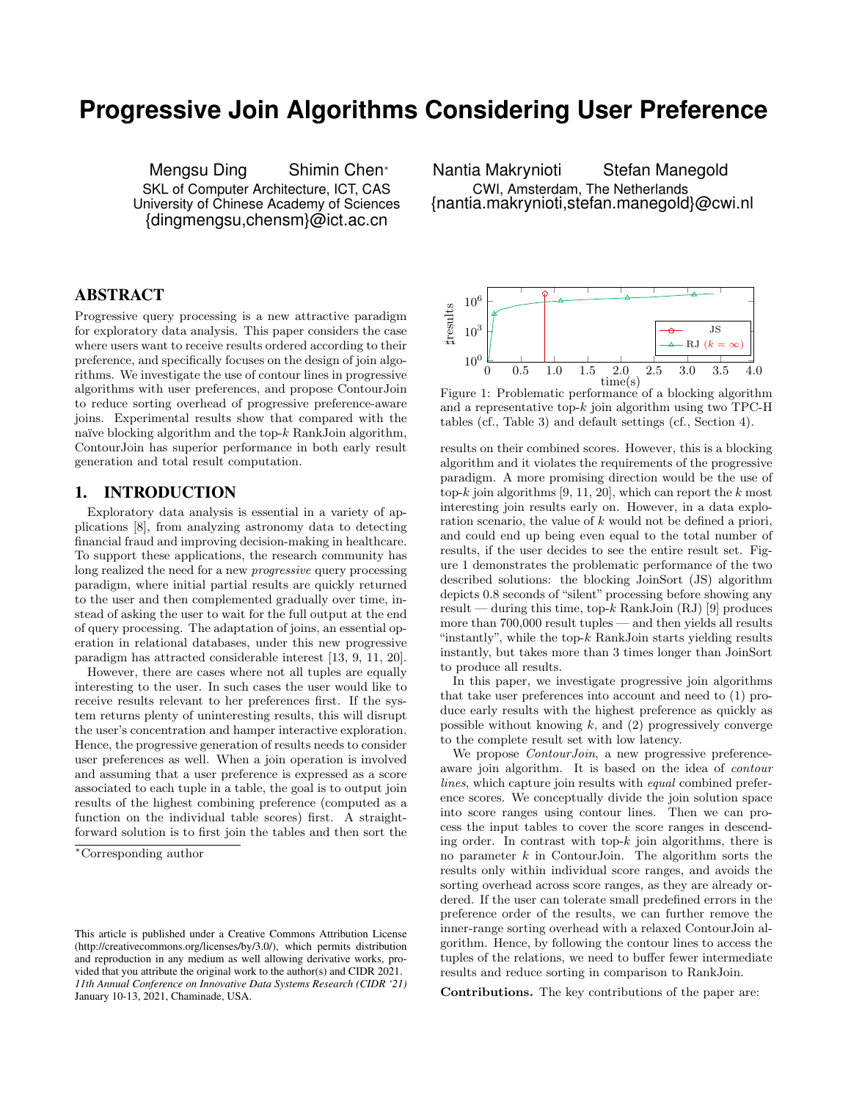# **Progressive Join Algorithms Considering User Preference**

Mengsu Ding Shimin Chen<sup>∗</sup> SKL of Computer Architecture, ICT, CAS University of Chinese Academy of Sciences {dingmengsu,chensm}@ict.ac.cn

## ABSTRACT

Progressive query processing is a new attractive paradigm for exploratory data analysis. This paper considers the case where users want to receive results ordered according to their preference, and specifically focuses on the design of join algorithms. We investigate the use of contour lines in progressive algorithms with user preferences, and propose ContourJoin to reduce sorting overhead of progressive preference-aware joins. Experimental results show that compared with the naïve blocking algorithm and the top- $k$  RankJoin algorithm, ContourJoin has superior performance in both early result generation and total result computation.

## 1. INTRODUCTION

Exploratory data analysis is essential in a variety of applications [8], from analyzing astronomy data to detecting financial fraud and improving decision-making in healthcare. To support these applications, the research community has long realized the need for a new progressive query processing paradigm, where initial partial results are quickly returned to the user and then complemented gradually over time, instead of asking the user to wait for the full output at the end of query processing. The adaptation of joins, an essential operation in relational databases, under this new progressive paradigm has attracted considerable interest [13, 9, 11, 20].

However, there are cases where not all tuples are equally interesting to the user. In such cases the user would like to receive results relevant to her preferences first. If the system returns plenty of uninteresting results, this will disrupt the user's concentration and hamper interactive exploration. Hence, the progressive generation of results needs to consider user preferences as well. When a join operation is involved and assuming that a user preference is expressed as a score associated to each tuple in a table, the goal is to output join results of the highest combining preference (computed as a function on the individual table scores) first. A straightforward solution is to first join the tables and then sort the

Nantia Makrynioti Stefan Manegold CWI, Amsterdam, The Netherlands {nantia.makrynioti,stefan.manegold}@cwi.nl



Figure 1: Problematic performance of a blocking algorithm and a representative top- $k$  join algorithm using two TPC-H tables (cf., Table 3) and default settings (cf., Section 4).

results on their combined scores. However, this is a blocking algorithm and it violates the requirements of the progressive paradigm. A more promising direction would be the use of top-k join algorithms [9, 11, 20], which can report the  $k$  most interesting join results early on. However, in a data exploration scenario, the value of k would not be defined a priori, and could end up being even equal to the total number of results, if the user decides to see the entire result set. Figure 1 demonstrates the problematic performance of the two described solutions: the blocking JoinSort (JS) algorithm depicts 0.8 seconds of "silent" processing before showing any result — during this time, top- $k$  RankJoin (RJ) [9] produces more than 700,000 result tuples — and then yields all results "instantly", while the top- $k$  RankJoin starts yielding results instantly, but takes more than 3 times longer than JoinSort to produce all results.

In this paper, we investigate progressive join algorithms that take user preferences into account and need to (1) produce early results with the highest preference as quickly as possible without knowing  $k$ , and  $(2)$  progressively converge to the complete result set with low latency.

We propose *ContourJoin*, a new progressive preferenceaware join algorithm. It is based on the idea of contour lines, which capture join results with equal combined preference scores. We conceptually divide the join solution space into score ranges using contour lines. Then we can process the input tables to cover the score ranges in descending order. In contrast with top- $k$  join algorithms, there is no parameter  $k$  in ContourJoin. The algorithm sorts the results only within individual score ranges, and avoids the sorting overhead across score ranges, as they are already ordered. If the user can tolerate small predefined errors in the preference order of the results, we can further remove the inner-range sorting overhead with a relaxed ContourJoin algorithm. Hence, by following the contour lines to access the tuples of the relations, we need to buffer fewer intermediate results and reduce sorting in comparison to RankJoin.

Contributions. The key contributions of the paper are:

<sup>∗</sup>Corresponding author

This article is published under a Creative Commons Attribution License (http://creativecommons.org/licenses/by/3.0/), which permits distribution and reproduction in any medium as well allowing derivative works, provided that you attribute the original work to the author(s) and CIDR 2021. *11th Annual Conference on Innovative Data Systems Research (CIDR '21)* January 10-13, 2021, Chaminade, USA.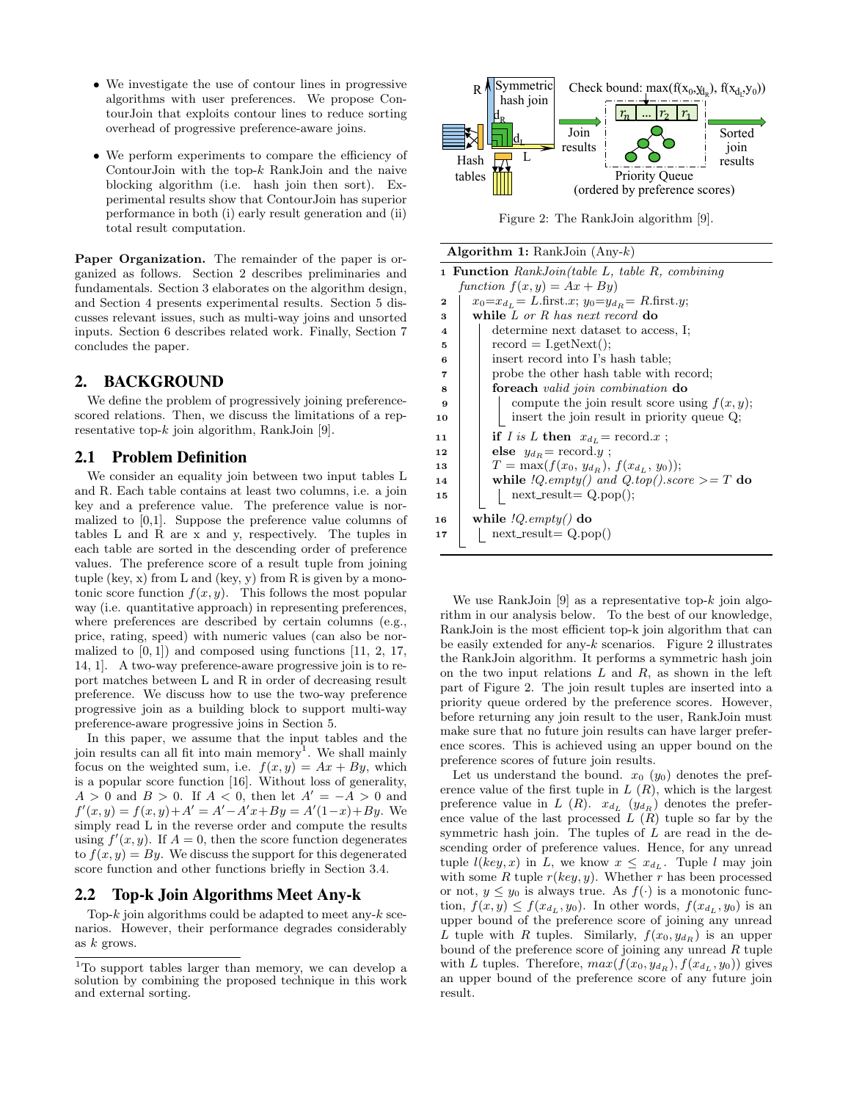- We investigate the use of contour lines in progressive algorithms with user preferences. We propose ContourJoin that exploits contour lines to reduce sorting overhead of progressive preference-aware joins.
- We perform experiments to compare the efficiency of Contour Join with the top- $k$  RankJoin and the naive blocking algorithm (i.e. hash join then sort). Experimental results show that ContourJoin has superior performance in both (i) early result generation and (ii) total result computation.

Paper Organization. The remainder of the paper is organized as follows. Section 2 describes preliminaries and fundamentals. Section 3 elaborates on the algorithm design, and Section 4 presents experimental results. Section 5 discusses relevant issues, such as multi-way joins and unsorted inputs. Section 6 describes related work. Finally, Section 7 concludes the paper.

## 2. BACKGROUND

We define the problem of progressively joining preferencescored relations. Then, we discuss the limitations of a representative top- $k$  join algorithm, RankJoin [9].

## 2.1 Problem Definition

We consider an equality join between two input tables L and R. Each table contains at least two columns, i.e. a join key and a preference value. The preference value is normalized to [0,1]. Suppose the preference value columns of tables L and R are x and y, respectively. The tuples in each table are sorted in the descending order of preference values. The preference score of a result tuple from joining tuple (key, x) from L and (key, y) from R is given by a monotonic score function  $f(x, y)$ . This follows the most popular way (i.e. quantitative approach) in representing preferences, where preferences are described by certain columns (e.g., price, rating, speed) with numeric values (can also be normalized to  $[0, 1]$  and composed using functions  $[11, 2, 17,$ 14, 1]. A two-way preference-aware progressive join is to report matches between L and R in order of decreasing result preference. We discuss how to use the two-way preference progressive join as a building block to support multi-way preference-aware progressive joins in Section 5.

In this paper, we assume that the input tables and the join results can all fit into main memory<sup>1</sup>. We shall mainly focus on the weighted sum, i.e.  $f(x, y) = Ax + By$ , which is a popular score function [16]. Without loss of generality,  $A > 0$  and  $B > 0$ . If  $A < 0$ , then let  $A' = -A > 0$  and  $f'(x, y) = f(x, y) + A' = A' - A'x + By = A'(1-x) + By$ . We simply read L in the reverse order and compute the results using  $f'(x, y)$ . If  $A = 0$ , then the score function degenerates to  $f(x, y) = By$ . We discuss the support for this degenerated score function and other functions briefly in Section 3.4.

## 2.2 Top-k Join Algorithms Meet Any-k

Top- $k$  join algorithms could be adapted to meet any- $k$  scenarios. However, their performance degrades considerably as  $k$  grows.



Figure 2: The RankJoin algorithm [9].

|                         | <b>Algorithm 1:</b> RankJoin $(Any-k)$                      |  |  |  |  |  |  |  |  |
|-------------------------|-------------------------------------------------------------|--|--|--|--|--|--|--|--|
|                         | <b>1 Function</b> RankJoin(table L, table R, combining      |  |  |  |  |  |  |  |  |
|                         | function $f(x, y) = Ax + By$                                |  |  |  |  |  |  |  |  |
| $\mathbf 2$             | $x_0 = x_{d_1} = L$ .first.x; $y_0 = y_{d_B} = R$ .first.y; |  |  |  |  |  |  |  |  |
| 3                       | while $L$ or $R$ has next record $\bf{do}$                  |  |  |  |  |  |  |  |  |
| $\overline{\mathbf{4}}$ | determine next dataset to access, I;                        |  |  |  |  |  |  |  |  |
| 5                       | $record = I.getNext$ ;                                      |  |  |  |  |  |  |  |  |
| 6                       | insert record into I's hash table;                          |  |  |  |  |  |  |  |  |
| 7                       | probe the other hash table with record;                     |  |  |  |  |  |  |  |  |
| 8                       | foreach <i>valid join combination</i> do                    |  |  |  |  |  |  |  |  |
| 9                       | compute the join result score using $f(x, y)$ ;             |  |  |  |  |  |  |  |  |
| 10                      | insert the join result in priority queue Q;                 |  |  |  |  |  |  |  |  |
| 11                      | if I is L then $x_{d_L}$ = record.x;                        |  |  |  |  |  |  |  |  |
| 12                      | <b>else</b> $y_{d_R}$ = record.y;                           |  |  |  |  |  |  |  |  |
| 13                      | $T = \max(f(x_0, y_{d_R}), f(x_{d_L}, y_0));$               |  |  |  |  |  |  |  |  |
| 14                      | while $IQ.empty()$ and $Q.top().score >= T$ do              |  |  |  |  |  |  |  |  |
| 15                      | $next\_result = Q.pop();$                                   |  |  |  |  |  |  |  |  |
| 16                      | while $IQ.empty()$ do                                       |  |  |  |  |  |  |  |  |
| 17                      | $next\_result = Q.pop()$                                    |  |  |  |  |  |  |  |  |
|                         |                                                             |  |  |  |  |  |  |  |  |

We use RankJoin  $[9]$  as a representative top- $k$  join algorithm in our analysis below. To the best of our knowledge, RankJoin is the most efficient top-k join algorithm that can be easily extended for any- $k$  scenarios. Figure 2 illustrates the RankJoin algorithm. It performs a symmetric hash join on the two input relations  $L$  and  $R$ , as shown in the left part of Figure 2. The join result tuples are inserted into a priority queue ordered by the preference scores. However, before returning any join result to the user, RankJoin must make sure that no future join results can have larger preference scores. This is achieved using an upper bound on the preference scores of future join results.

Let us understand the bound.  $x_0$   $(y_0)$  denotes the preference value of the first tuple in  $L(R)$ , which is the largest preference value in L  $(R)$ .  $x_{d_L}$   $(y_{d_R})$  denotes the preference value of the last processed  $L(R)$  tuple so far by the symmetric hash join. The tuples of  $L$  are read in the descending order of preference values. Hence, for any unread tuple  $l(key, x)$  in L, we know  $x \leq x_{d_L}$ . Tuple l may join with some R tuple  $r(key, y)$ . Whether r has been processed or not,  $y \leq y_0$  is always true. As  $f(\cdot)$  is a monotonic function,  $f(x,y) \leq f(x_{d_L}, y_0)$ . In other words,  $f(x_{d_L}, y_0)$  is an upper bound of the preference score of joining any unread L tuple with R tuples. Similarly,  $f(x_0, y_{dR})$  is an upper bound of the preference score of joining any unread R tuple with L tuples. Therefore,  $max(f(x_0, y_{d_R}), f(x_{d_L}, y_0))$  gives an upper bound of the preference score of any future join result.

<sup>1</sup>To support tables larger than memory, we can develop a solution by combining the proposed technique in this work and external sorting.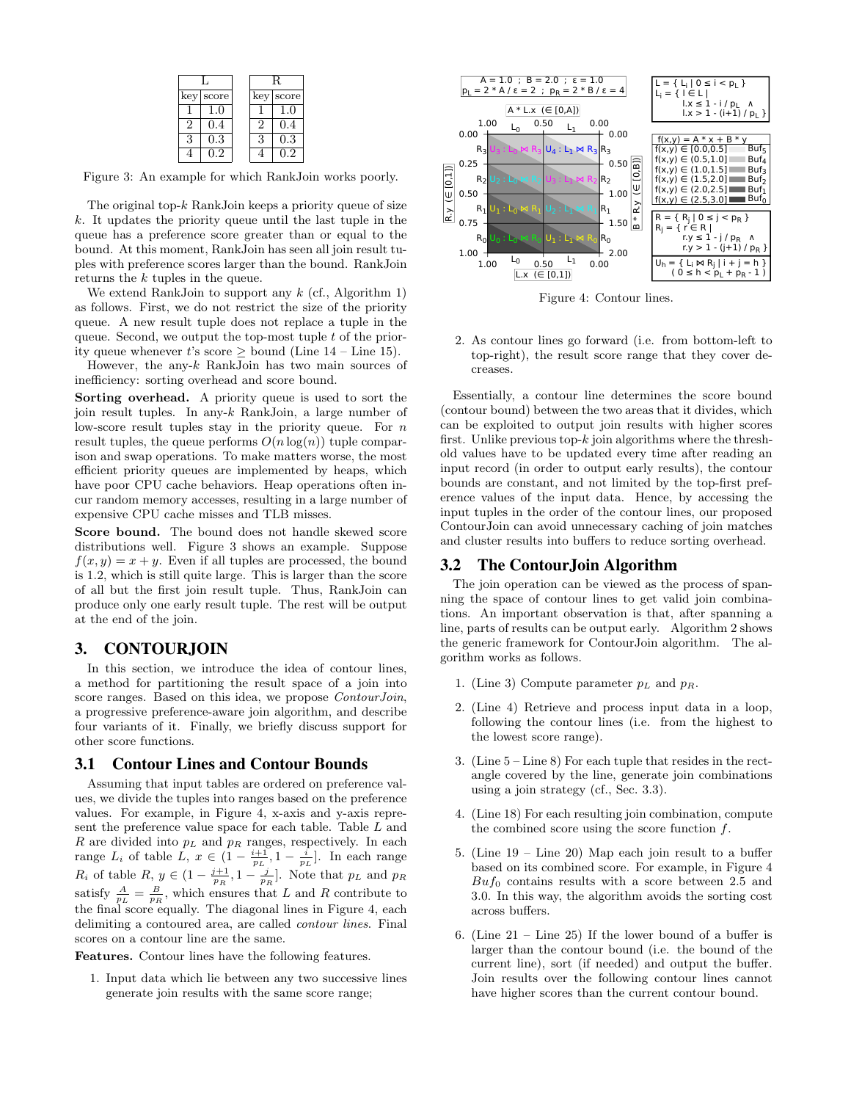|           |   | R         |
|-----------|---|-----------|
| key score |   | key score |
| 1.0       |   |           |
| 0.4       |   | 0.4       |
| $\rm 0.3$ | २ | $\rm 0.3$ |
|           |   |           |

Figure 3: An example for which RankJoin works poorly.

The original top- $k$  RankJoin keeps a priority queue of size  $k$ . It updates the priority queue until the last tuple in the queue has a preference score greater than or equal to the bound. At this moment, RankJoin has seen all join result tuples with preference scores larger than the bound. RankJoin returns the k tuples in the queue.

We extend RankJoin to support any  $k$  (cf., Algorithm 1) as follows. First, we do not restrict the size of the priority queue. A new result tuple does not replace a tuple in the queue. Second, we output the top-most tuple  $t$  of the priority queue whenever t's score  $\geq$  bound (Line 14 – Line 15).

However, the any- $k$  RankJoin has two main sources of inefficiency: sorting overhead and score bound.

Sorting overhead. A priority queue is used to sort the join result tuples. In any-k RankJoin, a large number of low-score result tuples stay in the priority queue. For  $n$ result tuples, the queue performs  $O(n \log(n))$  tuple comparison and swap operations. To make matters worse, the most efficient priority queues are implemented by heaps, which have poor CPU cache behaviors. Heap operations often incur random memory accesses, resulting in a large number of expensive CPU cache misses and TLB misses.

Score bound. The bound does not handle skewed score distributions well. Figure 3 shows an example. Suppose  $f(x, y) = x + y$ . Even if all tuples are processed, the bound is 1.2, which is still quite large. This is larger than the score of all but the first join result tuple. Thus, RankJoin can produce only one early result tuple. The rest will be output at the end of the join.

## 3. CONTOURJOIN

In this section, we introduce the idea of contour lines, a method for partitioning the result space of a join into score ranges. Based on this idea, we propose *ContourJoin*, a progressive preference-aware join algorithm, and describe four variants of it. Finally, we briefly discuss support for other score functions.

## 3.1 Contour Lines and Contour Bounds

Assuming that input tables are ordered on preference values, we divide the tuples into ranges based on the preference values. For example, in Figure 4, x-axis and y-axis represent the preference value space for each table. Table L and R are divided into  $p<sub>L</sub>$  and  $p<sub>R</sub>$  ranges, respectively. In each range  $L_i$  of table  $L, x \in \left(1 - \frac{i+1}{p_L}, 1 - \frac{i}{p_L}\right]$ . In each range  $R_i$  of table  $R, y \in \left(1 - \frac{j+1}{p_R}, 1 - \frac{j}{p_R}\right]$ . Note that  $p_L$  and  $p_R$ satisfy  $\frac{A}{p_L} = \frac{B}{p_R}$ , which ensures that L and R contribute to the final score equally. The diagonal lines in Figure 4, each delimiting a contoured area, are called contour lines. Final scores on a contour line are the same.

Features. Contour lines have the following features.

1. Input data which lie between any two successive lines generate join results with the same score range;



Figure 4: Contour lines.

2. As contour lines go forward (i.e. from bottom-left to top-right), the result score range that they cover decreases.

Essentially, a contour line determines the score bound (contour bound) between the two areas that it divides, which can be exploited to output join results with higher scores first. Unlike previous top- $k$  join algorithms where the threshold values have to be updated every time after reading an input record (in order to output early results), the contour bounds are constant, and not limited by the top-first preference values of the input data. Hence, by accessing the input tuples in the order of the contour lines, our proposed ContourJoin can avoid unnecessary caching of join matches and cluster results into buffers to reduce sorting overhead.

## 3.2 The ContourJoin Algorithm

The join operation can be viewed as the process of spanning the space of contour lines to get valid join combinations. An important observation is that, after spanning a line, parts of results can be output early. Algorithm 2 shows the generic framework for ContourJoin algorithm. The algorithm works as follows.

- 1. (Line 3) Compute parameter  $p_L$  and  $p_R$ .
- 2. (Line 4) Retrieve and process input data in a loop, following the contour lines (i.e. from the highest to the lowest score range).
- 3. (Line 5 Line 8) For each tuple that resides in the rectangle covered by the line, generate join combinations using a join strategy (cf., Sec. 3.3).
- 4. (Line 18) For each resulting join combination, compute the combined score using the score function  $f$ .
- 5. (Line 19 Line 20) Map each join result to a buffer based on its combined score. For example, in Figure 4  $Buf_0$  contains results with a score between 2.5 and 3.0. In this way, the algorithm avoids the sorting cost across buffers.
- 6. (Line  $21$  Line  $25$ ) If the lower bound of a buffer is larger than the contour bound (i.e. the bound of the current line), sort (if needed) and output the buffer. Join results over the following contour lines cannot have higher scores than the current contour bound.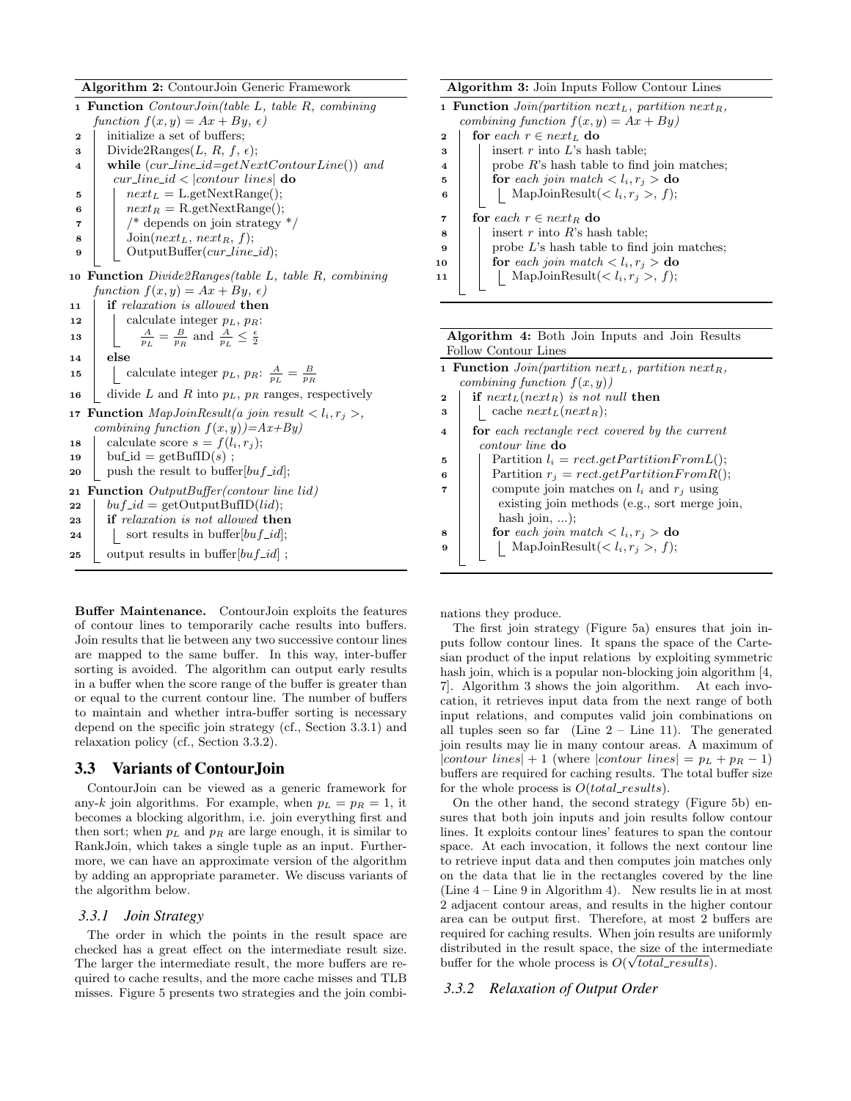Algorithm 2: ContourJoin Generic Framework

|    | <b>1 Function</b> ContourJoin(table L, table R, combining                                            |
|----|------------------------------------------------------------------------------------------------------|
|    | function $f(x, y) = Ax + By, \epsilon$                                                               |
| 2  | initialize a set of buffers;                                                                         |
| 3  | Divide2Ranges $(L, R, f, \epsilon)$ ;                                                                |
| 4  | while $(cur\_line\_id = getNextContourLine())$ and                                                   |
|    | $cur\_line_id$ <   contour lines  do                                                                 |
| 5  | $next_L = \text{L.getNextRange}$                                                                     |
| 6  | $next_R = R.getNextRange$ ;                                                                          |
| 7  | $\frac{1}{2}$ depends on join strategy $\frac{1}{2}$                                                 |
| 8  | $Join(next_L, next_R, f);$                                                                           |
| 9  | OutputBuffer(cur_line_id);                                                                           |
|    |                                                                                                      |
| 10 | <b>Function</b> $Divide2Rangestable$ L, table R, combining<br>function $f(x, y) = Ax + By, \epsilon$ |
|    | <b>if</b> relaxation is allowed <b>then</b>                                                          |
| 11 |                                                                                                      |
| 12 | calculate integer $p_L$ , $p_R$ :                                                                    |
| 13 | $\frac{A}{n_I} = \frac{B}{n_I}$ and $\frac{A}{n_I} \leq \frac{\epsilon}{2}$                          |
| 14 | else                                                                                                 |
| 15 | calculate integer $p_L$ , $p_R$ : $\frac{A}{p_L} = \frac{B}{p_B}$                                    |
| 16 | divide L and R into $p_L$ , $p_R$ ranges, respectively                                               |
| 17 | <b>Function</b> MapJoinResult(a join result $\langle l_i, r_j \rangle$ ,                             |
|    | combining function $f(x,y)$ =Ax+By)                                                                  |
| 18 | calculate score $s = f(l_i, r_i);$                                                                   |
| 19 | $\text{buf_id} = \text{getBuffD}(s)$ ;                                                               |
| 20 | push the result to buffer $[bu f_id]$ ;                                                              |
| 21 | Function OutputBuffer(contour line lid)                                                              |
| 22 | $buf\_id = getOutputBufID(id);$                                                                      |
| 23 | <b>if</b> relaxation is not allowed <b>then</b>                                                      |
| 24 | sort results in buffer $[bu f_id]$ ;                                                                 |
| 25 | output results in buffer $[buf\_id]$ ;                                                               |
|    |                                                                                                      |

Buffer Maintenance. ContourJoin exploits the features of contour lines to temporarily cache results into buffers. Join results that lie between any two successive contour lines are mapped to the same buffer. In this way, inter-buffer sorting is avoided. The algorithm can output early results in a buffer when the score range of the buffer is greater than or equal to the current contour line. The number of buffers to maintain and whether intra-buffer sorting is necessary depend on the specific join strategy (cf., Section 3.3.1) and relaxation policy (cf., Section 3.3.2).

## 3.3 Variants of ContourJoin

ContourJoin can be viewed as a generic framework for any-k join algorithms. For example, when  $p_L = p_R = 1$ , it becomes a blocking algorithm, i.e. join everything first and then sort; when  $p<sub>L</sub>$  and  $p<sub>R</sub>$  are large enough, it is similar to RankJoin, which takes a single tuple as an input. Furthermore, we can have an approximate version of the algorithm by adding an appropriate parameter. We discuss variants of the algorithm below.

#### *3.3.1 Join Strategy*

The order in which the points in the result space are checked has a great effect on the intermediate result size. The larger the intermediate result, the more buffers are required to cache results, and the more cache misses and TLB misses. Figure 5 presents two strategies and the join combi-

|                         | <b>Algorithm 3:</b> Join Inputs Follow Contour Lines                               |  |  |  |  |  |  |  |  |
|-------------------------|------------------------------------------------------------------------------------|--|--|--|--|--|--|--|--|
|                         | <b>1 Function</b> Join(partition next <sub>L</sub> , partition next <sub>R</sub> , |  |  |  |  |  |  |  |  |
|                         | combining function $f(x, y) = Ax + By$                                             |  |  |  |  |  |  |  |  |
| $\mathbf 2$             | for each $r \in next_L$ do                                                         |  |  |  |  |  |  |  |  |
| 3                       | insert $r$ into $L$ 's hash table;                                                 |  |  |  |  |  |  |  |  |
| $\overline{\mathbf{4}}$ | probe $R$ 's hash table to find join matches;                                      |  |  |  |  |  |  |  |  |
| 5                       | for each join match $\langle l_i, r_j \rangle$ do                                  |  |  |  |  |  |  |  |  |
| 6                       | MapJoinResult(< $l_i, r_j >, f$ );                                                 |  |  |  |  |  |  |  |  |
| $\overline{7}$          | for each $r \in next_B$ do                                                         |  |  |  |  |  |  |  |  |
| 8                       | insert r into R's hash table;                                                      |  |  |  |  |  |  |  |  |
| 9                       | probe $L$ 's hash table to find join matches;                                      |  |  |  |  |  |  |  |  |
| 10                      | for each join match $\langle l_i, r_j \rangle$ do                                  |  |  |  |  |  |  |  |  |
| 11                      | MapJoinResult(< $l_i, r_j >, f$ );                                                 |  |  |  |  |  |  |  |  |

| <b>Algorithm 4:</b> Both Join Inputs and Join Results |  |  |  |  |
|-------------------------------------------------------|--|--|--|--|
| Follow Contour Lines                                  |  |  |  |  |

|                         | <b>1 Function</b> $Join(partition next_L, partition next_R,$ |
|-------------------------|--------------------------------------------------------------|
|                         | combining function $f(x, y)$                                 |
| $\mathbf 2$             | if $next_L(next_R)$ is not null then                         |
| 3                       | cache $next_L(next_R);$                                      |
| $\overline{\mathbf{4}}$ | <b>for</b> each rectangle rect covered by the current        |
|                         | <i>contour line</i> do                                       |
| 5                       | Partition $l_i = rect.getPartitionFromL();$                  |
| 6                       | Partition $r_j = rect.getPartitionFromR();$                  |
| 7                       | compute join matches on $l_i$ and $r_j$ using                |
|                         | existing join methods (e.g., sort merge join,                |
|                         | hash join, $\dots$ ;                                         |
| 8                       | for each join match $\langle l_i, r_j \rangle$ do            |
| $\mathbf{Q}$            | MapJoinResult $(l_i, r_j >, f);$                             |
|                         |                                                              |

nations they produce.

The first join strategy (Figure 5a) ensures that join inputs follow contour lines. It spans the space of the Cartesian product of the input relations by exploiting symmetric hash join, which is a popular non-blocking join algorithm [4,] 7]. Algorithm 3 shows the join algorithm. At each invocation, it retrieves input data from the next range of both input relations, and computes valid join combinations on all tuples seen so far (Line  $2 -$ Line 11). The generated join results may lie in many contour areas. A maximum of |contour lines| + 1 (where |contour lines| =  $p_L + p_R - 1$ ) buffers are required for caching results. The total buffer size for the whole process is  $O(total\_results)$ .

On the other hand, the second strategy (Figure 5b) ensures that both join inputs and join results follow contour lines. It exploits contour lines' features to span the contour space. At each invocation, it follows the next contour line to retrieve input data and then computes join matches only on the data that lie in the rectangles covered by the line (Line 4 – Line 9 in Algorithm 4). New results lie in at most 2 adjacent contour areas, and results in the higher contour area can be output first. Therefore, at most 2 buffers are required for caching results. When join results are uniformly distributed in the result space, the size of the intermediate buffer for the whole process is  $O(\sqrt{total\_results}).$ 

#### *3.3.2 Relaxation of Output Order*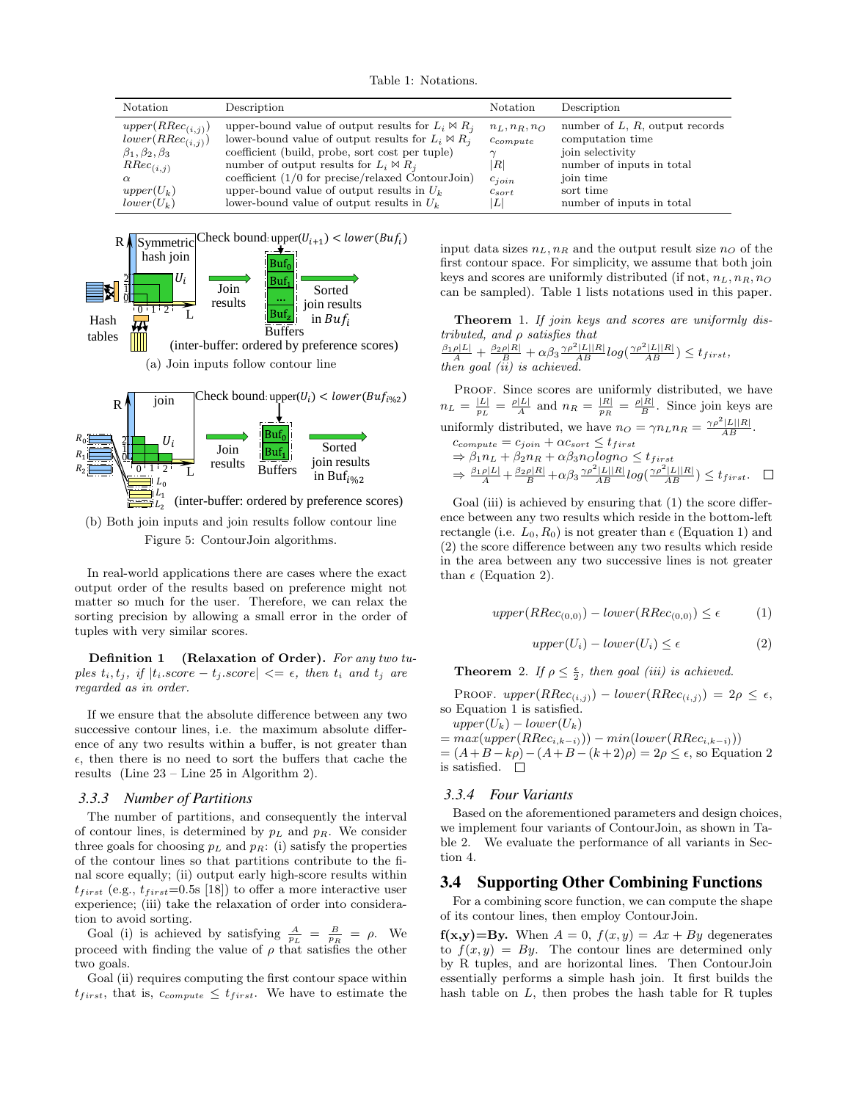Table 1: Notations.

| Notation                                                                                                                                    | Description                                                                                                                                                                                                                                                                                                                                                                         | Notation                                                                                  | Description                                                                                                                                                   |
|---------------------------------------------------------------------------------------------------------------------------------------------|-------------------------------------------------------------------------------------------------------------------------------------------------------------------------------------------------------------------------------------------------------------------------------------------------------------------------------------------------------------------------------------|-------------------------------------------------------------------------------------------|---------------------------------------------------------------------------------------------------------------------------------------------------------------|
| $upper(RRec_{(i,j)})$<br>$lower(RRec_{(i,j)})$<br>$\beta_1, \beta_2, \beta_3$<br>$RRec_{(i,j)}$<br>$\alpha$<br>$upper(U_k)$<br>$lower(U_k)$ | upper-bound value of output results for $L_i \bowtie R_j$<br>lower-bound value of output results for $L_i \bowtie R_j$<br>coefficient (build, probe, sort cost per tuple)<br>number of output results for $L_i \bowtie R_j$<br>coefficient $(1/0$ for precise/relaxed Contour Join)<br>upper-bound value of output results in $U_k$<br>lower-bound value of output results in $U_k$ | $n_L, n_R, n_Q$<br>$c_{compute}$<br>$\left  R \right $<br>$c_{join}$<br>$c_{sort}$<br>۱L۱ | number of $L, R$ , output records<br>computation time<br>join selectivity<br>number of inputs in total<br>join time<br>sort time<br>number of inputs in total |



(b) Both join inputs and join results follow contour line Figure 5: ContourJoin algorithms.

In real-world applications there are cases where the exact output order of the results based on preference might not matter so much for the user. Therefore, we can relax the sorting precision by allowing a small error in the order of tuples with very similar scores.

Definition 1 (Relaxation of Order). For any two tuples  $t_i, t_j$ , if  $|t_i$ .score  $-t_j$ .score $|\leq \epsilon$ , then  $t_i$  and  $t_j$  are regarded as in order.

If we ensure that the absolute difference between any two successive contour lines, i.e. the maximum absolute difference of any two results within a buffer, is not greater than  $\epsilon$ , then there is no need to sort the buffers that cache the results (Line 23 – Line 25 in Algorithm 2).

#### *3.3.3 Number of Partitions*

The number of partitions, and consequently the interval of contour lines, is determined by  $p<sub>L</sub>$  and  $p<sub>R</sub>$ . We consider three goals for choosing  $p<sub>L</sub>$  and  $p<sub>R</sub>$ : (i) satisfy the properties of the contour lines so that partitions contribute to the final score equally; (ii) output early high-score results within  $t_{first}$  (e.g.,  $t_{first}$ =0.5s [18]) to offer a more interactive user experience; (iii) take the relaxation of order into consideration to avoid sorting.

Goal (i) is achieved by satisfying  $\frac{A}{p_L} = \frac{B}{p_R} = \rho$ . We proceed with finding the value of  $\rho$  that satisfies the other two goals.

Goal (ii) requires computing the first contour space within  $t_{first}$ , that is,  $c_{compute} \leq t_{first}$ . We have to estimate the input data sizes  $n<sub>L</sub>$ ,  $n<sub>R</sub>$  and the output result size  $n<sub>O</sub>$  of the first contour space. For simplicity, we assume that both join keys and scores are uniformly distributed (if not,  $n_L, n_R, n_Q$ ) can be sampled). Table 1 lists notations used in this paper.

Theorem 1. If join keys and scores are uniformly distributed, and ρ satisfies that  $\frac{\beta_1\rho|L|}{A} + \frac{\beta_2\rho|R|}{B} + \alpha\beta_3\frac{\gamma\rho^2|L||R|}{AB}log(\frac{\gamma\rho^2|L||R|}{AB}) \leq t_{first},$ 

then goal (ii) is achieved.

PROOF. Since scores are uniformly distributed, we have  $n_L = \frac{|L|}{p_L} = \frac{\rho |L|}{A}$  and  $n_R = \frac{|R|}{p_R} = \frac{\rho |R|}{B}$ . Since join keys are uniformly distributed, we have  $n_O = \gamma n_L n_R = \frac{\gamma \rho^2 |L||R|}{AB}$ .  $c_{compute} = c_{join} + \alpha c_{sort} \leq t_{first}$  $\Rightarrow \beta_1 n_L + \beta_2 n_R + \alpha \beta_3 n_O log n_O \leq t_{first}$  $\Rightarrow \tfrac{\beta_1\rho|L|}{A} + \tfrac{\beta_2\rho|R|}{B} + \alpha\beta_3\tfrac{\gamma\rho^2|L||R|}{AB}log(\tfrac{\gamma\rho^2|L||R|}{AB}) \leq t_{first}.$ 

Goal (iii) is achieved by ensuring that  $(1)$  the score difference between any two results which reside in the bottom-left rectangle (i.e.  $L_0$ ,  $R_0$ ) is not greater than  $\epsilon$  (Equation 1) and (2) the score difference between any two results which reside in the area between any two successive lines is not greater than  $\epsilon$  (Equation 2).

$$
upper(RRec_{(0,0)}) - lower(RRec_{(0,0)}) \le \epsilon \tag{1}
$$

$$
upper(U_i) - lower(U_i) \le \epsilon
$$
\n<sup>(2)</sup>

**Theorem** 2. If  $\rho \leq \frac{\epsilon}{2}$ , then goal (iii) is achieved.

PROOF.  $upper(RRec_{(i,j)}) - lower(RRec_{(i,j)}) = 2\rho \leq \epsilon$ , so Equation 1 is satisfied.

 $upper(U_k) - lower(U_k)$ 

 $= max(upper(RRec_{i,k-i})) - min(lower(RRec_{i,k-i}))$  $=(A+B-k\rho)-(A+B-(k+2)\rho)=2\rho\leq\epsilon$ , so Equation 2 is satisfied.  $\square$ 

#### *3.3.4 Four Variants*

Based on the aforementioned parameters and design choices, we implement four variants of ContourJoin, as shown in Table 2. We evaluate the performance of all variants in Section 4.

## 3.4 Supporting Other Combining Functions

For a combining score function, we can compute the shape of its contour lines, then employ ContourJoin.

 $f(x,y)=By.$  When  $A = 0$ ,  $f(x,y) = Ax + By$  degenerates to  $f(x, y) = By$ . The contour lines are determined only by R tuples, and are horizontal lines. Then ContourJoin essentially performs a simple hash join. It first builds the hash table on  $L$ , then probes the hash table for R tuples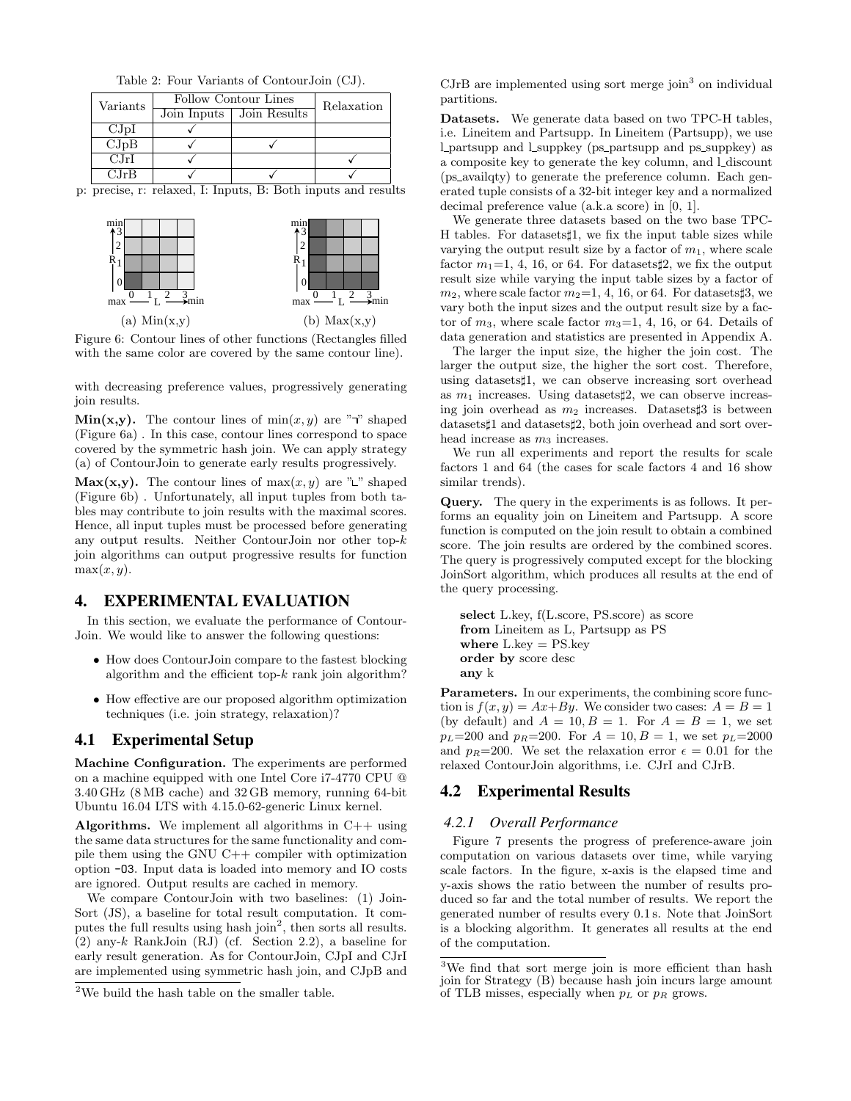|          | Table 2: Four Variants of Contour Join (CJ). |                    |
|----------|----------------------------------------------|--------------------|
| Iarionic | Follow Contour Lines                         | $R_{\text{clock}}$ |

| Variants           | Follow Contour Lines | Relaxation                 |  |
|--------------------|----------------------|----------------------------|--|
|                    |                      | Join Inputs   Join Results |  |
| CJpI               |                      |                            |  |
| CJpB               |                      |                            |  |
| CJrI               |                      |                            |  |
| $C_{\cdot}$ Ir $B$ |                      |                            |  |

p: precise, r: relaxed, I: Inputs, B: Both inputs and results



Figure 6: Contour lines of other functions (Rectangles filled with the same color are covered by the same contour line).

with decreasing preference values, progressively generating join results.

Min(x,y). The contour lines of  $min(x, y)$  are " $\neg$ " shaped (Figure 6a) . In this case, contour lines correspond to space covered by the symmetric hash join. We can apply strategy (a) of ContourJoin to generate early results progressively.

Max(x,y). The contour lines of  $max(x, y)$  are " $\mathsf{L}$ " shaped (Figure 6b) . Unfortunately, all input tuples from both tables may contribute to join results with the maximal scores. Hence, all input tuples must be processed before generating any output results. Neither ContourJoin nor other top-k join algorithms can output progressive results for function  $max(x, y)$ .

# 4. EXPERIMENTAL EVALUATION

In this section, we evaluate the performance of Contour-Join. We would like to answer the following questions:

- How does ContourJoin compare to the fastest blocking algorithm and the efficient top- $k$  rank join algorithm?
- How effective are our proposed algorithm optimization techniques (i.e. join strategy, relaxation)?

# 4.1 Experimental Setup

Machine Configuration. The experiments are performed on a machine equipped with one Intel Core i7-4770 CPU @ 3.40 GHz (8 MB cache) and 32 GB memory, running 64-bit Ubuntu 16.04 LTS with 4.15.0-62-generic Linux kernel.

**Algorithms.** We implement all algorithms in  $C++$  using the same data structures for the same functionality and compile them using the GNU C++ compiler with optimization option -O3. Input data is loaded into memory and IO costs are ignored. Output results are cached in memory.

We compare ContourJoin with two baselines: (1) Join-Sort (JS), a baseline for total result computation. It computes the full results using hash join<sup>2</sup>, then sorts all results. (2) any-k RankJoin (RJ) (cf. Section 2.2), a baseline for early result generation. As for ContourJoin, CJpI and CJrI are implemented using symmetric hash join, and CJpB and

 $CJrB$  are implemented using sort merge join<sup>3</sup> on individual partitions.

Datasets. We generate data based on two TPC-H tables, i.e. Lineitem and Partsupp. In Lineitem (Partsupp), we use l partsupp and l suppkey (ps partsupp and ps suppkey) as a composite key to generate the key column, and L discount (ps availqty) to generate the preference column. Each generated tuple consists of a 32-bit integer key and a normalized decimal preference value (a.k.a score) in [0, 1].

We generate three datasets based on the two base TPC-H tables. For datasets  $1$ , we fix the input table sizes while varying the output result size by a factor of  $m_1$ , where scale factor  $m_1=1, 4, 16$ , or 64. For datasets  $\sharp 2$ , we fix the output result size while varying the input table sizes by a factor of  $m_2$ , where scale factor  $m_2=1, 4, 16$ , or 64. For datasets 3, we vary both the input sizes and the output result size by a factor of  $m_3$ , where scale factor  $m_3=1, 4, 16$ , or 64. Details of data generation and statistics are presented in Appendix A.

The larger the input size, the higher the join cost. The larger the output size, the higher the sort cost. Therefore, using datasets<sup> $\sharp$ 1, we can observe increasing sort overhead</sup> as  $m_1$  increases. Using datasets  $\sharp 2$ , we can observe increasing join overhead as  $m_2$  increases. Datasets 3 is between datasets<sup> $\sharp$ 1</sup> and datasets $\sharp$ 2, both join overhead and sort overhead increase as  $m_3$  increases.

We run all experiments and report the results for scale factors 1 and 64 (the cases for scale factors 4 and 16 show similar trends).

Query. The query in the experiments is as follows. It performs an equality join on Lineitem and Partsupp. A score function is computed on the join result to obtain a combined score. The join results are ordered by the combined scores. The query is progressively computed except for the blocking JoinSort algorithm, which produces all results at the end of the query processing.

```
select L.key, f(L.score, PS.score) as score
from Lineitem as L, Partsupp as PS
where L \text{.} key = PS \text{.} keyorder by score desc
any k
```
Parameters. In our experiments, the combining score function is  $f(x, y) = Ax + By$ . We consider two cases:  $A = B = 1$ (by default) and  $A = 10, B = 1$ . For  $A = B = 1$ , we set  $p_L=200$  and  $p_R=200$ . For  $A=10, B=1$ , we set  $p_L=2000$ and  $p_R=200$ . We set the relaxation error  $\epsilon=0.01$  for the relaxed ContourJoin algorithms, i.e. CJrI and CJrB.

# 4.2 Experimental Results

## *4.2.1 Overall Performance*

Figure 7 presents the progress of preference-aware join computation on various datasets over time, while varying scale factors. In the figure, x-axis is the elapsed time and y-axis shows the ratio between the number of results produced so far and the total number of results. We report the generated number of results every 0.1 s. Note that JoinSort is a blocking algorithm. It generates all results at the end of the computation.

 $2$ We build the hash table on the smaller table.

<sup>&</sup>lt;sup>3</sup>We find that sort merge join is more efficient than hash join for Strategy (B) because hash join incurs large amount of TLB misses, especially when  $p<sub>L</sub>$  or  $p<sub>R</sub>$  grows.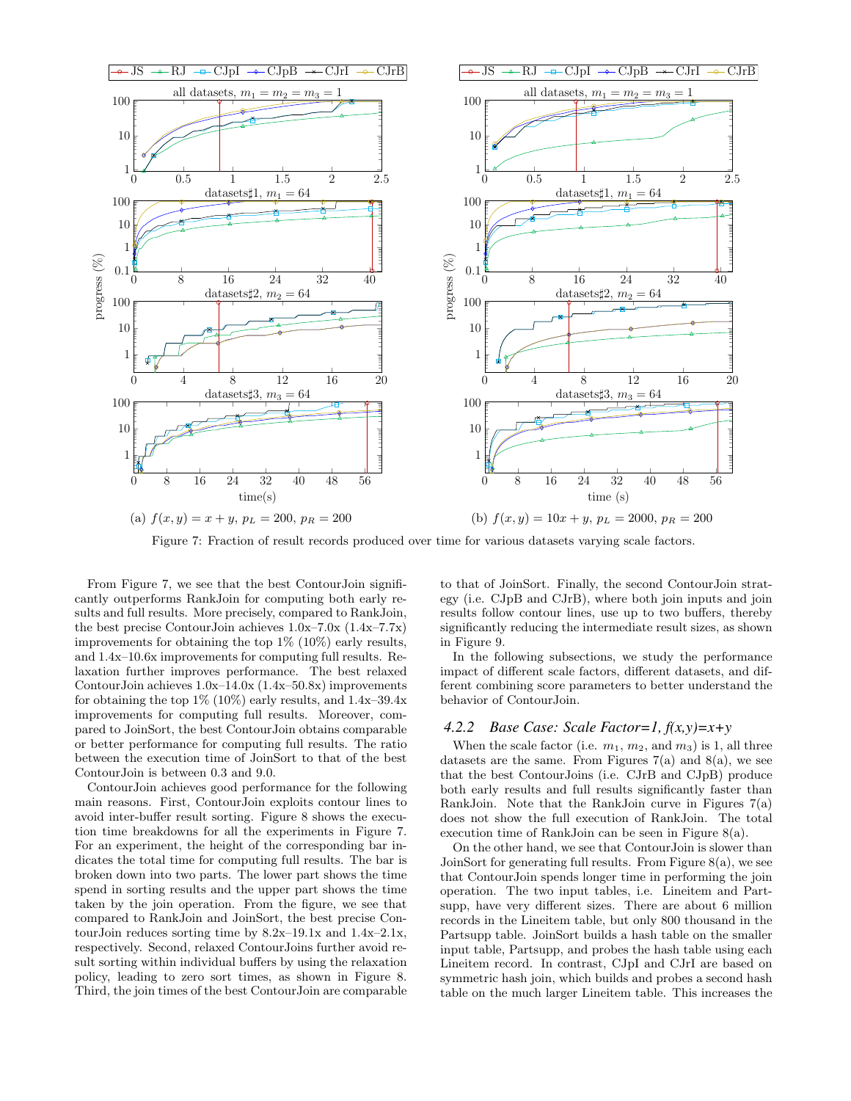

Figure 7: Fraction of result records produced over time for various datasets varying scale factors.

From Figure 7, we see that the best ContourJoin significantly outperforms RankJoin for computing both early results and full results. More precisely, compared to RankJoin, the best precise ContourJoin achieves 1.0x–7.0x (1.4x–7.7x) improvements for obtaining the top 1% (10%) early results, and 1.4x–10.6x improvements for computing full results. Relaxation further improves performance. The best relaxed ContourJoin achieves 1.0x–14.0x (1.4x–50.8x) improvements for obtaining the top  $1\%$  (10%) early results, and  $1.4x-39.4x$ improvements for computing full results. Moreover, compared to JoinSort, the best ContourJoin obtains comparable or better performance for computing full results. The ratio between the execution time of JoinSort to that of the best ContourJoin is between 0.3 and 9.0.

ContourJoin achieves good performance for the following main reasons. First, ContourJoin exploits contour lines to avoid inter-buffer result sorting. Figure 8 shows the execution time breakdowns for all the experiments in Figure 7. For an experiment, the height of the corresponding bar indicates the total time for computing full results. The bar is broken down into two parts. The lower part shows the time spend in sorting results and the upper part shows the time taken by the join operation. From the figure, we see that compared to RankJoin and JoinSort, the best precise ContourJoin reduces sorting time by 8.2x–19.1x and 1.4x–2.1x, respectively. Second, relaxed ContourJoins further avoid result sorting within individual buffers by using the relaxation policy, leading to zero sort times, as shown in Figure 8. Third, the join times of the best ContourJoin are comparable

to that of JoinSort. Finally, the second ContourJoin strategy (i.e. CJpB and CJrB), where both join inputs and join results follow contour lines, use up to two buffers, thereby significantly reducing the intermediate result sizes, as shown in Figure 9.

In the following subsections, we study the performance impact of different scale factors, different datasets, and different combining score parameters to better understand the behavior of ContourJoin.

#### *4.2.2 Base Case: Scale Factor=1, f(x,y)=x+y*

When the scale factor (i.e.  $m_1, m_2$ , and  $m_3$ ) is 1, all three datasets are the same. From Figures  $7(a)$  and  $8(a)$ , we see that the best ContourJoins (i.e. CJrB and CJpB) produce both early results and full results significantly faster than RankJoin. Note that the RankJoin curve in Figures 7(a) does not show the full execution of RankJoin. The total execution time of RankJoin can be seen in Figure 8(a).

On the other hand, we see that ContourJoin is slower than JoinSort for generating full results. From Figure 8(a), we see that ContourJoin spends longer time in performing the join operation. The two input tables, i.e. Lineitem and Partsupp, have very different sizes. There are about 6 million records in the Lineitem table, but only 800 thousand in the Partsupp table. JoinSort builds a hash table on the smaller input table, Partsupp, and probes the hash table using each Lineitem record. In contrast, CJpI and CJrI are based on symmetric hash join, which builds and probes a second hash table on the much larger Lineitem table. This increases the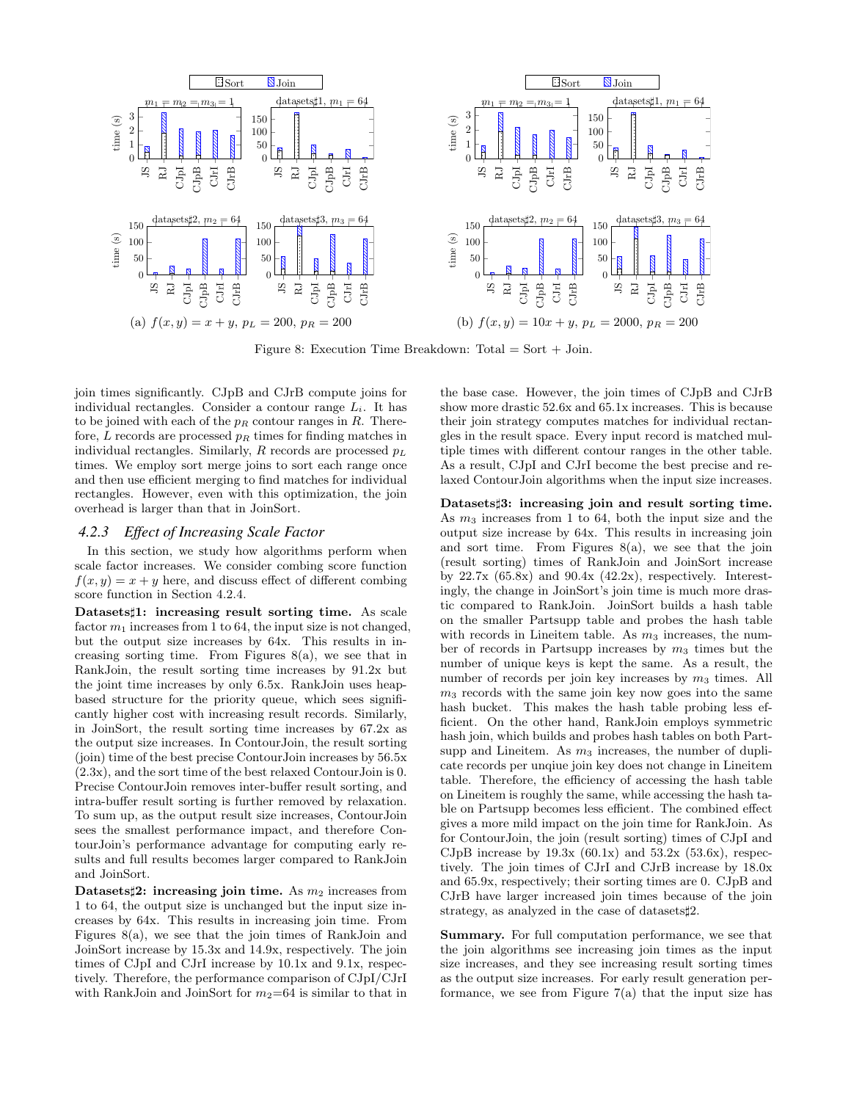

Figure 8: Execution Time Breakdown: Total  $=$  Sort  $+$  Join.

join times significantly. CJpB and CJrB compute joins for individual rectangles. Consider a contour range  $L_i$ . It has to be joined with each of the  $p_R$  contour ranges in R. Therefore,  $L$  records are processed  $p_R$  times for finding matches in individual rectangles. Similarly,  $R$  records are processed  $p<sub>L</sub>$ times. We employ sort merge joins to sort each range once and then use efficient merging to find matches for individual rectangles. However, even with this optimization, the join overhead is larger than that in JoinSort.

#### *4.2.3 Effect of Increasing Scale Factor*

In this section, we study how algorithms perform when scale factor increases. We consider combing score function  $f(x, y) = x + y$  here, and discuss effect of different combing score function in Section 4.2.4.

Datasets<sup>1</sup>1: increasing result sorting time. As scale factor  $m_1$  increases from 1 to 64, the input size is not changed, but the output size increases by 64x. This results in increasing sorting time. From Figures  $8(a)$ , we see that in RankJoin, the result sorting time increases by 91.2x but the joint time increases by only 6.5x. RankJoin uses heapbased structure for the priority queue, which sees significantly higher cost with increasing result records. Similarly, in JoinSort, the result sorting time increases by 67.2x as the output size increases. In ContourJoin, the result sorting (join) time of the best precise ContourJoin increases by 56.5x (2.3x), and the sort time of the best relaxed ContourJoin is 0. Precise ContourJoin removes inter-buffer result sorting, and intra-buffer result sorting is further removed by relaxation. To sum up, as the output result size increases, ContourJoin sees the smallest performance impact, and therefore ContourJoin's performance advantage for computing early results and full results becomes larger compared to RankJoin and JoinSort.

Datasets<sup> $\sharp$ 2: increasing join time. As  $m_2$  increases from</sup> 1 to 64, the output size is unchanged but the input size increases by 64x. This results in increasing join time. From Figures 8(a), we see that the join times of RankJoin and JoinSort increase by 15.3x and 14.9x, respectively. The join times of CJpI and CJrI increase by 10.1x and 9.1x, respectively. Therefore, the performance comparison of CJpI/CJrI with RankJoin and JoinSort for  $m_2=64$  is similar to that in the base case. However, the join times of CJpB and CJrB show more drastic 52.6x and 65.1x increases. This is because their join strategy computes matches for individual rectangles in the result space. Every input record is matched multiple times with different contour ranges in the other table. As a result, CJpI and CJrI become the best precise and relaxed ContourJoin algorithms when the input size increases.

Datasets#3: increasing join and result sorting time. As  $m_3$  increases from 1 to 64, both the input size and the output size increase by 64x. This results in increasing join and sort time. From Figures  $8(a)$ , we see that the join (result sorting) times of RankJoin and JoinSort increase by  $22.7x$  (65.8x) and  $90.4x$  (42.2x), respectively. Interestingly, the change in JoinSort's join time is much more drastic compared to RankJoin. JoinSort builds a hash table on the smaller Partsupp table and probes the hash table with records in Lineitem table. As  $m_3$  increases, the number of records in Partsupp increases by  $m_3$  times but the number of unique keys is kept the same. As a result, the number of records per join key increases by  $m_3$  times. All  $m<sub>3</sub>$  records with the same join key now goes into the same hash bucket. This makes the hash table probing less efficient. On the other hand, RankJoin employs symmetric hash join, which builds and probes hash tables on both Partsupp and Lineitem. As  $m_3$  increases, the number of duplicate records per unqiue join key does not change in Lineitem table. Therefore, the efficiency of accessing the hash table on Lineitem is roughly the same, while accessing the hash table on Partsupp becomes less efficient. The combined effect gives a more mild impact on the join time for RankJoin. As for ContourJoin, the join (result sorting) times of CJpI and CJpB increase by  $19.3x$  (60.1x) and  $53.2x$  (53.6x), respectively. The join times of CJrI and CJrB increase by 18.0x and 65.9x, respectively; their sorting times are 0. CJpB and CJrB have larger increased join times because of the join strategy, as analyzed in the case of datasets $\sharp 2$ .

Summary. For full computation performance, we see that the join algorithms see increasing join times as the input size increases, and they see increasing result sorting times as the output size increases. For early result generation performance, we see from Figure  $7(a)$  that the input size has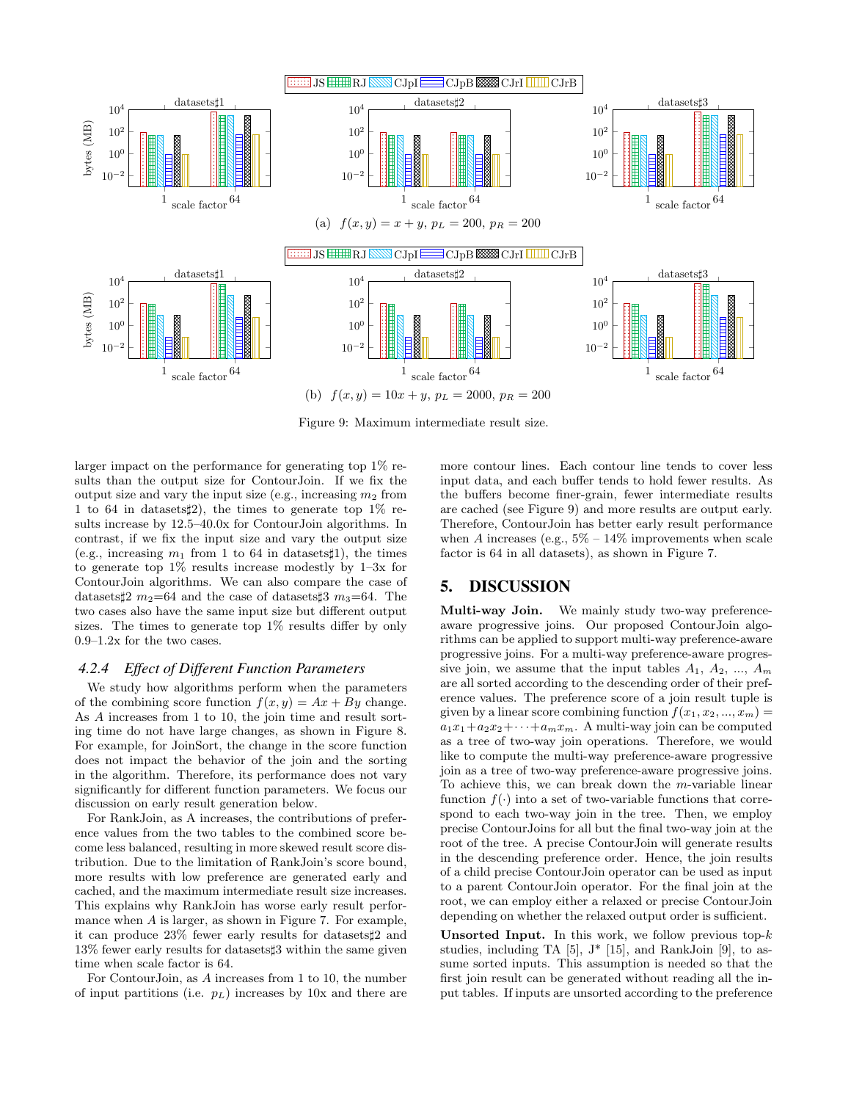

Figure 9: Maximum intermediate result size.

larger impact on the performance for generating top 1% results than the output size for ContourJoin. If we fix the output size and vary the input size (e.g., increasing  $m_2$  from 1 to 64 in datasets  $\sharp 2$ ), the times to generate top 1% results increase by 12.5–40.0x for ContourJoin algorithms. In contrast, if we fix the input size and vary the output size (e.g., increasing  $m_1$  from 1 to 64 in datasets 1), the times to generate top 1% results increase modestly by 1–3x for ContourJoin algorithms. We can also compare the case of datasets $\sharp 2$  m<sub>2</sub>=64 and the case of datasets $\sharp 3$  m<sub>3</sub>=64. The two cases also have the same input size but different output sizes. The times to generate top 1% results differ by only 0.9–1.2x for the two cases.

#### *4.2.4 Effect of Different Function Parameters*

We study how algorithms perform when the parameters of the combining score function  $f(x, y) = Ax + By$  change. As A increases from 1 to 10, the join time and result sorting time do not have large changes, as shown in Figure 8. For example, for JoinSort, the change in the score function does not impact the behavior of the join and the sorting in the algorithm. Therefore, its performance does not vary significantly for different function parameters. We focus our discussion on early result generation below.

For RankJoin, as A increases, the contributions of preference values from the two tables to the combined score become less balanced, resulting in more skewed result score distribution. Due to the limitation of RankJoin's score bound, more results with low preference are generated early and cached, and the maximum intermediate result size increases. This explains why RankJoin has worse early result performance when A is larger, as shown in Figure 7. For example, it can produce  $23\%$  fewer early results for datasets  $\sharp 2$  and 13% fewer early results for datasets]3 within the same given time when scale factor is 64.

For ContourJoin, as A increases from 1 to 10, the number of input partitions (i.e.  $p_L$ ) increases by 10x and there are more contour lines. Each contour line tends to cover less input data, and each buffer tends to hold fewer results. As the buffers become finer-grain, fewer intermediate results are cached (see Figure 9) and more results are output early. Therefore, ContourJoin has better early result performance when A increases (e.g.,  $5\% - 14\%$  improvements when scale factor is 64 in all datasets), as shown in Figure 7.

# 5. DISCUSSION

Multi-way Join. We mainly study two-way preferenceaware progressive joins. Our proposed ContourJoin algorithms can be applied to support multi-way preference-aware progressive joins. For a multi-way preference-aware progressive join, we assume that the input tables  $A_1, A_2, ..., A_m$ are all sorted according to the descending order of their preference values. The preference score of a join result tuple is given by a linear score combining function  $f(x_1, x_2, ..., x_m) =$  $a_1x_1+a_2x_2+\cdots+a_mx_m$ . A multi-way join can be computed as a tree of two-way join operations. Therefore, we would like to compute the multi-way preference-aware progressive join as a tree of two-way preference-aware progressive joins. To achieve this, we can break down the m-variable linear function  $f(.)$  into a set of two-variable functions that correspond to each two-way join in the tree. Then, we employ precise ContourJoins for all but the final two-way join at the root of the tree. A precise ContourJoin will generate results in the descending preference order. Hence, the join results of a child precise ContourJoin operator can be used as input to a parent ContourJoin operator. For the final join at the root, we can employ either a relaxed or precise ContourJoin depending on whether the relaxed output order is sufficient.

Unsorted Input. In this work, we follow previous top- $k$ studies, including TA  $[5]$ ,  $J^*$   $[15]$ , and RankJoin  $[9]$ , to assume sorted inputs. This assumption is needed so that the first join result can be generated without reading all the input tables. If inputs are unsorted according to the preference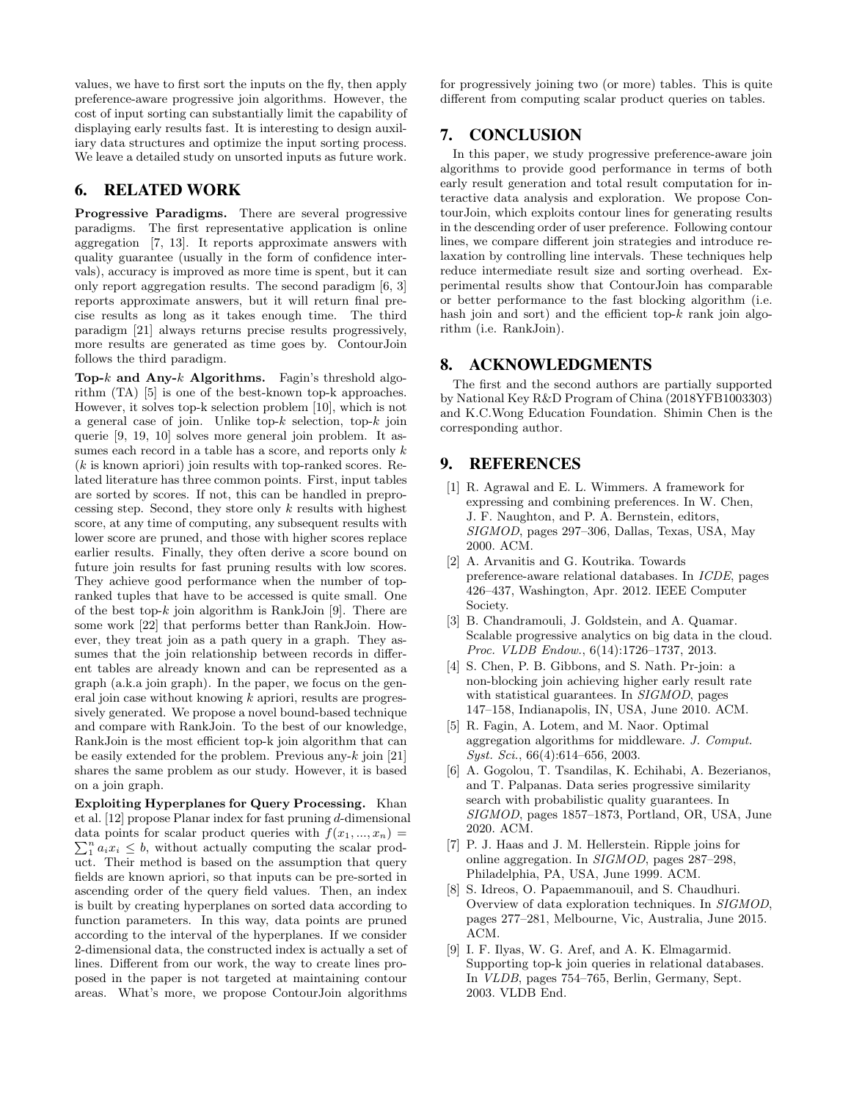values, we have to first sort the inputs on the fly, then apply preference-aware progressive join algorithms. However, the cost of input sorting can substantially limit the capability of displaying early results fast. It is interesting to design auxiliary data structures and optimize the input sorting process. We leave a detailed study on unsorted inputs as future work.

## 6. RELATED WORK

Progressive Paradigms. There are several progressive paradigms. The first representative application is online aggregation [7, 13]. It reports approximate answers with quality guarantee (usually in the form of confidence intervals), accuracy is improved as more time is spent, but it can only report aggregation results. The second paradigm [6, 3] reports approximate answers, but it will return final precise results as long as it takes enough time. The third paradigm [21] always returns precise results progressively, more results are generated as time goes by. ContourJoin follows the third paradigm.

Top-k and Any-k Algorithms. Fagin's threshold algorithm (TA) [5] is one of the best-known top-k approaches. However, it solves top-k selection problem [10], which is not a general case of join. Unlike top- $k$  selection, top- $k$  join querie [9, 19, 10] solves more general join problem. It assumes each record in a table has a score, and reports only  $k$ (k is known apriori) join results with top-ranked scores. Related literature has three common points. First, input tables are sorted by scores. If not, this can be handled in preprocessing step. Second, they store only  $k$  results with highest score, at any time of computing, any subsequent results with lower score are pruned, and those with higher scores replace earlier results. Finally, they often derive a score bound on future join results for fast pruning results with low scores. They achieve good performance when the number of topranked tuples that have to be accessed is quite small. One of the best top- $k$  join algorithm is RankJoin [9]. There are some work [22] that performs better than RankJoin. However, they treat join as a path query in a graph. They assumes that the join relationship between records in different tables are already known and can be represented as a graph (a.k.a join graph). In the paper, we focus on the general join case without knowing  $k$  apriori, results are progressively generated. We propose a novel bound-based technique and compare with RankJoin. To the best of our knowledge, RankJoin is the most efficient top-k join algorithm that can be easily extended for the problem. Previous any- $k$  join [21] shares the same problem as our study. However, it is based on a join graph.

Exploiting Hyperplanes for Query Processing. Khan et al. [12] propose Planar index for fast pruning d-dimensional data points for scalar product queries with  $f(x_1, ..., x_n) =$  $\sum_{i=1}^{n} a_i x_i \leq b$ , without actually computing the scalar product. Their method is based on the assumption that query fields are known apriori, so that inputs can be pre-sorted in ascending order of the query field values. Then, an index is built by creating hyperplanes on sorted data according to function parameters. In this way, data points are pruned according to the interval of the hyperplanes. If we consider 2-dimensional data, the constructed index is actually a set of lines. Different from our work, the way to create lines proposed in the paper is not targeted at maintaining contour areas. What's more, we propose ContourJoin algorithms

for progressively joining two (or more) tables. This is quite different from computing scalar product queries on tables.

# 7. CONCLUSION

In this paper, we study progressive preference-aware join algorithms to provide good performance in terms of both early result generation and total result computation for interactive data analysis and exploration. We propose ContourJoin, which exploits contour lines for generating results in the descending order of user preference. Following contour lines, we compare different join strategies and introduce relaxation by controlling line intervals. These techniques help reduce intermediate result size and sorting overhead. Experimental results show that ContourJoin has comparable or better performance to the fast blocking algorithm (i.e. hash join and sort) and the efficient top- $k$  rank join algorithm (i.e. RankJoin).

## 8. ACKNOWLEDGMENTS

The first and the second authors are partially supported by National Key R&D Program of China (2018YFB1003303) and K.C.Wong Education Foundation. Shimin Chen is the corresponding author.

# 9. REFERENCES

- [1] R. Agrawal and E. L. Wimmers. A framework for expressing and combining preferences. In W. Chen, J. F. Naughton, and P. A. Bernstein, editors, SIGMOD, pages 297–306, Dallas, Texas, USA, May 2000. ACM.
- [2] A. Arvanitis and G. Koutrika. Towards preference-aware relational databases. In ICDE, pages 426–437, Washington, Apr. 2012. IEEE Computer Society.
- [3] B. Chandramouli, J. Goldstein, and A. Quamar. Scalable progressive analytics on big data in the cloud. Proc. VLDB Endow., 6(14):1726–1737, 2013.
- [4] S. Chen, P. B. Gibbons, and S. Nath. Pr-join: a non-blocking join achieving higher early result rate with statistical guarantees. In SIGMOD, pages 147–158, Indianapolis, IN, USA, June 2010. ACM.
- [5] R. Fagin, A. Lotem, and M. Naor. Optimal aggregation algorithms for middleware. J. Comput. Syst. Sci., 66(4):614–656, 2003.
- [6] A. Gogolou, T. Tsandilas, K. Echihabi, A. Bezerianos, and T. Palpanas. Data series progressive similarity search with probabilistic quality guarantees. In SIGMOD, pages 1857–1873, Portland, OR, USA, June 2020. ACM.
- [7] P. J. Haas and J. M. Hellerstein. Ripple joins for online aggregation. In SIGMOD, pages 287–298, Philadelphia, PA, USA, June 1999. ACM.
- [8] S. Idreos, O. Papaemmanouil, and S. Chaudhuri. Overview of data exploration techniques. In SIGMOD, pages 277–281, Melbourne, Vic, Australia, June 2015. ACM.
- [9] I. F. Ilyas, W. G. Aref, and A. K. Elmagarmid. Supporting top-k join queries in relational databases. In VLDB, pages 754–765, Berlin, Germany, Sept. 2003. VLDB End.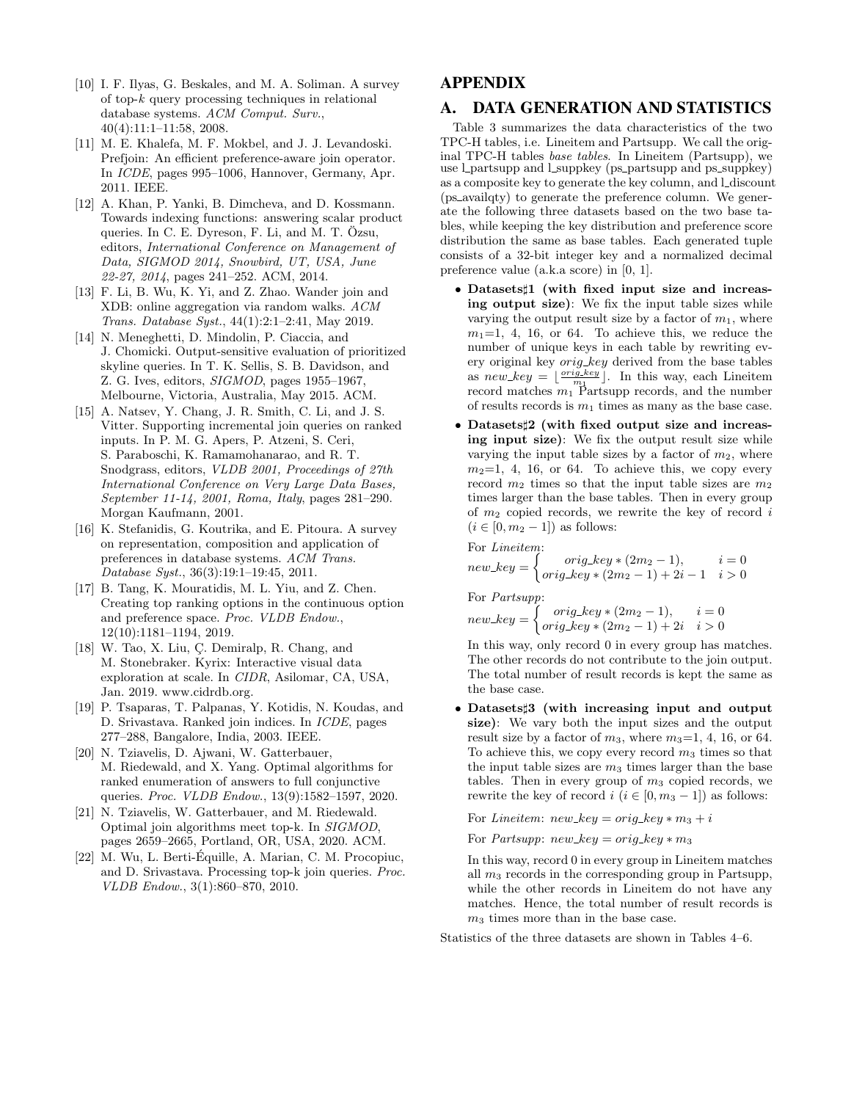- [10] I. F. Ilyas, G. Beskales, and M. A. Soliman. A survey of top- $k$  query processing techniques in relational database systems. ACM Comput. Surv., 40(4):11:1–11:58, 2008.
- [11] M. E. Khalefa, M. F. Mokbel, and J. J. Levandoski. Prefjoin: An efficient preference-aware join operator. In ICDE, pages 995–1006, Hannover, Germany, Apr. 2011. IEEE.
- [12] A. Khan, P. Yanki, B. Dimcheva, and D. Kossmann. Towards indexing functions: answering scalar product queries. In C. E. Dyreson, F. Li, and M. T. Özsu, editors, International Conference on Management of Data, SIGMOD 2014, Snowbird, UT, USA, June 22-27, 2014, pages 241–252. ACM, 2014.
- [13] F. Li, B. Wu, K. Yi, and Z. Zhao. Wander join and XDB: online aggregation via random walks. ACM Trans. Database Syst., 44(1):2:1–2:41, May 2019.
- [14] N. Meneghetti, D. Mindolin, P. Ciaccia, and J. Chomicki. Output-sensitive evaluation of prioritized skyline queries. In T. K. Sellis, S. B. Davidson, and Z. G. Ives, editors, SIGMOD, pages 1955–1967, Melbourne, Victoria, Australia, May 2015. ACM.
- [15] A. Natsev, Y. Chang, J. R. Smith, C. Li, and J. S. Vitter. Supporting incremental join queries on ranked inputs. In P. M. G. Apers, P. Atzeni, S. Ceri, S. Paraboschi, K. Ramamohanarao, and R. T. Snodgrass, editors, VLDB 2001, Proceedings of 27th International Conference on Very Large Data Bases, September 11-14, 2001, Roma, Italy, pages 281–290. Morgan Kaufmann, 2001.
- [16] K. Stefanidis, G. Koutrika, and E. Pitoura. A survey on representation, composition and application of preferences in database systems. ACM Trans. Database Syst., 36(3):19:1–19:45, 2011.
- [17] B. Tang, K. Mouratidis, M. L. Yiu, and Z. Chen. Creating top ranking options in the continuous option and preference space. Proc. VLDB Endow., 12(10):1181–1194, 2019.
- [18] W. Tao, X. Liu, Ç. Demiralp, R. Chang, and M. Stonebraker. Kyrix: Interactive visual data exploration at scale. In CIDR, Asilomar, CA, USA, Jan. 2019. www.cidrdb.org.
- [19] P. Tsaparas, T. Palpanas, Y. Kotidis, N. Koudas, and D. Srivastava. Ranked join indices. In ICDE, pages 277–288, Bangalore, India, 2003. IEEE.
- [20] N. Tziavelis, D. Ajwani, W. Gatterbauer, M. Riedewald, and X. Yang. Optimal algorithms for ranked enumeration of answers to full conjunctive queries. Proc. VLDB Endow., 13(9):1582–1597, 2020.
- [21] N. Tziavelis, W. Gatterbauer, and M. Riedewald. Optimal join algorithms meet top-k. In SIGMOD, pages 2659–2665, Portland, OR, USA, 2020. ACM.
- [22] M. Wu, L. Berti-Equille, A. Marian, C. M. Procopiuc, ´ and D. Srivastava. Processing top-k join queries. Proc. VLDB Endow., 3(1):860–870, 2010.

# APPENDIX

## A. DATA GENERATION AND STATISTICS

Table 3 summarizes the data characteristics of the two TPC-H tables, i.e. Lineitem and Partsupp. We call the original TPC-H tables base tables. In Lineitem (Partsupp), we use Lpartsupp and Lsuppkey (ps partsupp and ps suppkey) as a composite key to generate the key column, and L discount (ps availqty) to generate the preference column. We generate the following three datasets based on the two base tables, while keeping the key distribution and preference score distribution the same as base tables. Each generated tuple consists of a 32-bit integer key and a normalized decimal preference value (a.k.a score) in [0, 1].

- Datasets]1 (with fixed input size and increasing output size): We fix the input table sizes while varying the output result size by a factor of  $m_1$ , where  $m_1=1, 4, 16,$  or 64. To achieve this, we reduce the number of unique keys in each table by rewriting every original key  $orig\_key$  derived from the base tables as  $new\_key = \lfloor \frac{orig\_key}{m_1} \rfloor$ . In this way, each Lineitem record matches  $m_1$ <sup>m<sub>1</sub></sup> Partsupp records, and the number of results records is  $m_1$  times as many as the base case.
- Datasets<sup>†</sup>2 (with fixed output size and increasing input size): We fix the output result size while varying the input table sizes by a factor of  $m_2$ , where  $m_2=1, 4, 16,$  or 64. To achieve this, we copy every record  $m_2$  times so that the input table sizes are  $m_2$ times larger than the base tables. Then in every group of  $m_2$  copied records, we rewrite the key of record i  $(i \in [0, m_2 - 1])$  as follows:

For *Lineitem*:  
\n
$$
new\_key = \begin{cases}\n& origin\_key * (2m_2 - 1), & i = 0 \\
& origin\_key * (2m_2 - 1) + 2i - 1 & i > 0\n\end{cases}
$$

For Partsupp:

$$
new\_key = \begin{cases} orig\_key * (2m_2 - 1), & i = 0 \\ orig\_key * (2m_2 - 1) + 2i & i > 0 \end{cases}
$$

In this way, only record 0 in every group has matches. The other records do not contribute to the join output. The total number of result records is kept the same as the base case.

• Datasets#3 (with increasing input and output size): We vary both the input sizes and the output result size by a factor of  $m_3$ , where  $m_3=1, 4, 16,$  or 64. To achieve this, we copy every record  $m_3$  times so that the input table sizes are  $m_3$  times larger than the base tables. Then in every group of  $m_3$  copied records, we rewrite the key of record  $i$   $(i \in [0, m_3 - 1])$  as follows:

For Lineitem:  $new\_key = orig\_key * m_3 + i$ 

For *Partsupp*:  $new\_key = orig\_key * m_3$ 

In this way, record 0 in every group in Lineitem matches all  $m_3$  records in the corresponding group in Partsupp, while the other records in Lineitem do not have any matches. Hence, the total number of result records is  $m_3$  times more than in the base case.

Statistics of the three datasets are shown in Tables 4–6.